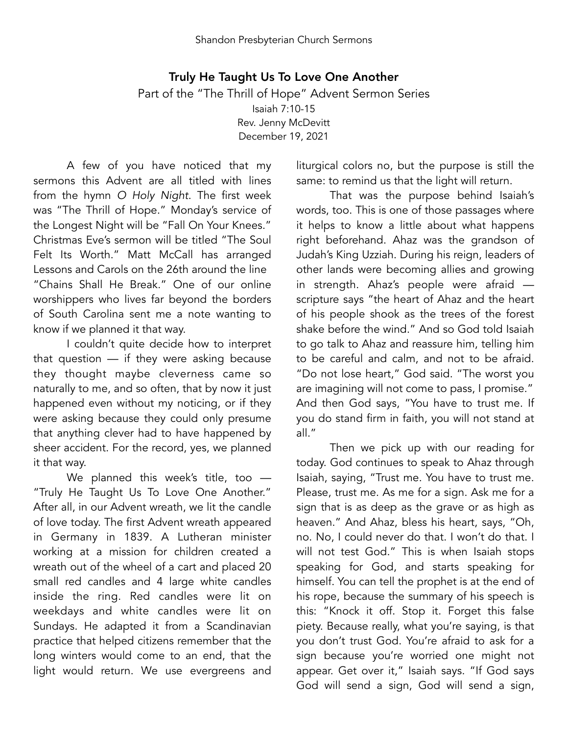## Truly He Taught Us To Love One Another Part of the "The Thrill of Hope" Advent Sermon Series Isaiah 7:10-15 Rev. Jenny McDevitt December 19, 2021

A few of you have noticed that my sermons this Advent are all titled with lines from the hymn *O Holy Night*. The first week was "The Thrill of Hope." Monday's service of the Longest Night will be "Fall On Your Knees." Christmas Eve's sermon will be titled "The Soul Felt Its Worth." Matt McCall has arranged Lessons and Carols on the 26th around the line "Chains Shall He Break." One of our online worshippers who lives far beyond the borders of South Carolina sent me a note wanting to know if we planned it that way.

I couldn't quite decide how to interpret that question — if they were asking because they thought maybe cleverness came so naturally to me, and so often, that by now it just happened even without my noticing, or if they were asking because they could only presume that anything clever had to have happened by sheer accident. For the record, yes, we planned it that way.

We planned this week's title, too — "Truly He Taught Us To Love One Another." After all, in our Advent wreath, we lit the candle of love today. The first Advent wreath appeared in Germany in 1839. A Lutheran minister working at a mission for children created a wreath out of the wheel of a cart and placed 20 small red candles and 4 large white candles inside the ring. Red candles were lit on weekdays and white candles were lit on Sundays. He adapted it from a Scandinavian practice that helped citizens remember that the long winters would come to an end, that the light would return. We use evergreens and liturgical colors no, but the purpose is still the same: to remind us that the light will return.

That was the purpose behind Isaiah's words, too. This is one of those passages where it helps to know a little about what happens right beforehand. Ahaz was the grandson of Judah's King Uzziah. During his reign, leaders of other lands were becoming allies and growing in strength. Ahaz's people were afraid scripture says "the heart of Ahaz and the heart of his people shook as the trees of the forest shake before the wind." And so God told Isaiah to go talk to Ahaz and reassure him, telling him to be careful and calm, and not to be afraid. "Do not lose heart," God said. "The worst you are imagining will not come to pass, I promise." And then God says, "You have to trust me. If you do stand firm in faith, you will not stand at all."

Then we pick up with our reading for today. God continues to speak to Ahaz through Isaiah, saying, "Trust me. You have to trust me. Please, trust me. As me for a sign. Ask me for a sign that is as deep as the grave or as high as heaven." And Ahaz, bless his heart, says, "Oh, no. No, I could never do that. I won't do that. I will not test God." This is when Isaiah stops speaking for God, and starts speaking for himself. You can tell the prophet is at the end of his rope, because the summary of his speech is this: "Knock it off. Stop it. Forget this false piety. Because really, what you're saying, is that you don't trust God. You're afraid to ask for a sign because you're worried one might not appear. Get over it," Isaiah says. "If God says God will send a sign, God will send a sign,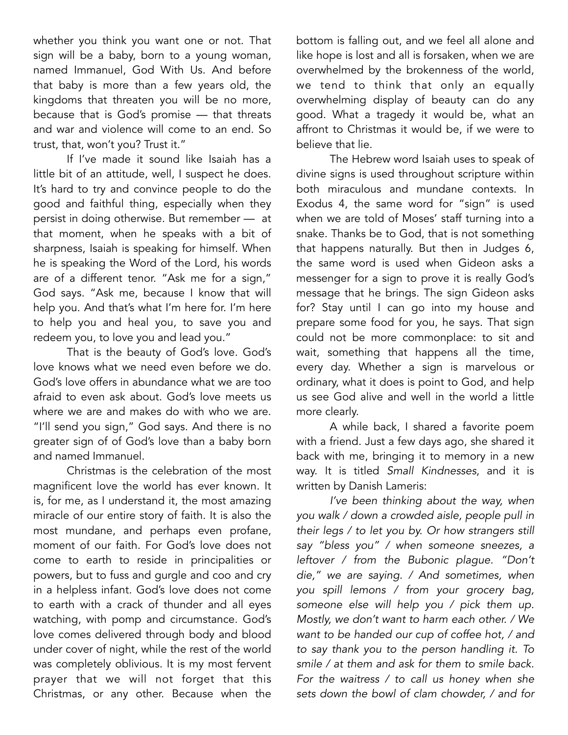whether you think you want one or not. That sign will be a baby, born to a young woman, named Immanuel, God With Us. And before that baby is more than a few years old, the kingdoms that threaten you will be no more, because that is God's promise — that threats and war and violence will come to an end. So trust, that, won't you? Trust it."

If I've made it sound like Isaiah has a little bit of an attitude, well, I suspect he does. It's hard to try and convince people to do the good and faithful thing, especially when they persist in doing otherwise. But remember — at that moment, when he speaks with a bit of sharpness, Isaiah is speaking for himself. When he is speaking the Word of the Lord, his words are of a different tenor. "Ask me for a sign," God says. "Ask me, because I know that will help you. And that's what I'm here for. I'm here to help you and heal you, to save you and redeem you, to love you and lead you."

That is the beauty of God's love. God's love knows what we need even before we do. God's love offers in abundance what we are too afraid to even ask about. God's love meets us where we are and makes do with who we are. "I'll send you sign," God says. And there is no greater sign of of God's love than a baby born and named Immanuel.

Christmas is the celebration of the most magnificent love the world has ever known. It is, for me, as I understand it, the most amazing miracle of our entire story of faith. It is also the most mundane, and perhaps even profane, moment of our faith. For God's love does not come to earth to reside in principalities or powers, but to fuss and gurgle and coo and cry in a helpless infant. God's love does not come to earth with a crack of thunder and all eyes watching, with pomp and circumstance. God's love comes delivered through body and blood under cover of night, while the rest of the world was completely oblivious. It is my most fervent prayer that we will not forget that this Christmas, or any other. Because when the

bottom is falling out, and we feel all alone and like hope is lost and all is forsaken, when we are overwhelmed by the brokenness of the world, we tend to think that only an equally overwhelming display of beauty can do any good. What a tragedy it would be, what an affront to Christmas it would be, if we were to believe that lie.

The Hebrew word Isaiah uses to speak of divine signs is used throughout scripture within both miraculous and mundane contexts. In Exodus 4, the same word for "sign" is used when we are told of Moses' staff turning into a snake. Thanks be to God, that is not something that happens naturally. But then in Judges 6, the same word is used when Gideon asks a messenger for a sign to prove it is really God's message that he brings. The sign Gideon asks for? Stay until I can go into my house and prepare some food for you, he says. That sign could not be more commonplace: to sit and wait, something that happens all the time, every day. Whether a sign is marvelous or ordinary, what it does is point to God, and help us see God alive and well in the world a little more clearly.

A while back, I shared a favorite poem with a friend. Just a few days ago, she shared it back with me, bringing it to memory in a new way. It is titled *Small Kindnesses*, and it is written by Danish Lameris:

*I've been thinking about the way, when you walk / down a crowded aisle, people pull in their legs / to let you by. Or how strangers still say "bless you" / when someone sneezes, a leftover / from the Bubonic plague. "Don't die," we are saying. / And sometimes, when you spill lemons / from your grocery bag, someone else will help you / pick them up. Mostly, we don't want to harm each other. / We want to be handed our cup of coffee hot, / and to say thank you to the person handling it. To smile / at them and ask for them to smile back. For the waitress / to call us honey when she sets down the bowl of clam chowder, / and for*